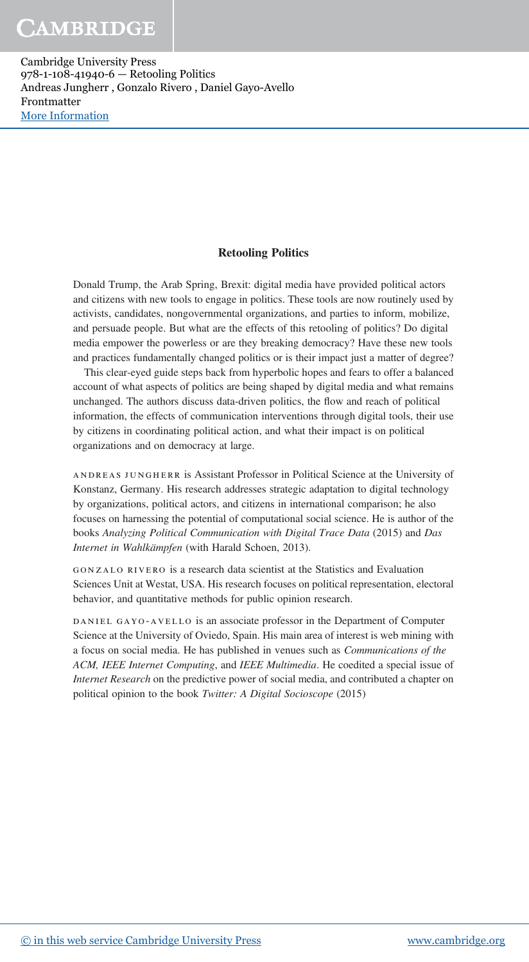### **Retooling Politics**

Donald Trump, the Arab Spring, Brexit: digital media have provided political actors and citizens with new tools to engage in politics. These tools are now routinely used by activists, candidates, nongovernmental organizations, and parties to inform, mobilize, and persuade people. But what are the effects of this retooling of politics? Do digital media empower the powerless or are they breaking democracy? Have these new tools and practices fundamentally changed politics or is their impact just a matter of degree?

This clear-eyed guide steps back from hyperbolic hopes and fears to offer a balanced account of what aspects of politics are being shaped by digital media and what remains unchanged. The authors discuss data-driven politics, the flow and reach of political information, the effects of communication interventions through digital tools, their use by citizens in coordinating political action, and what their impact is on political organizations and on democracy at large.

andreas jungherr is Assistant Professor in Political Science at the University of Konstanz, Germany. His research addresses strategic adaptation to digital technology by organizations, political actors, and citizens in international comparison; he also focuses on harnessing the potential of computational social science. He is author of the books *Analyzing Political Communication with Digital Trace Data* (2015) and *Das Internet in Wahlkämpfen* (with Harald Schoen, 2013).

gonzalo rivero is a research data scientist at the Statistics and Evaluation Sciences Unit at Westat, USA. His research focuses on political representation, electoral behavior, and quantitative methods for public opinion research.

daniel gayo-avello is an associate professor in the Department of Computer Science at the University of Oviedo, Spain. His main area of interest is web mining with a focus on social media. He has published in venues such as *Communications of the ACM, IEEE Internet Computing*, and *IEEE Multimedia*. He coedited a special issue of *Internet Research* on the predictive power of social media, and contributed a chapter on political opinion to the book *Twitter: A Digital Socioscope* (2015)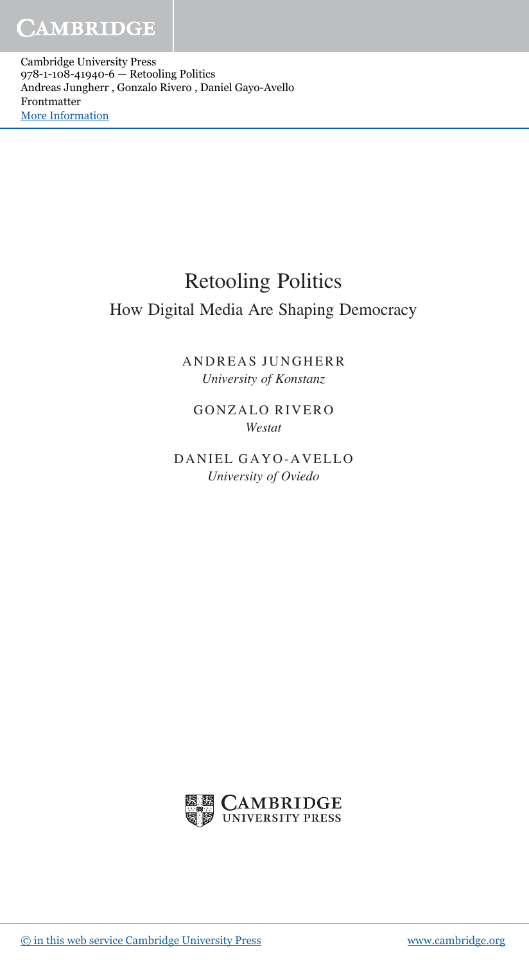## **CAMBRIDGE**

Cambridge University Press 978-1-108-41940-6 — Retooling Politics Andreas Jungherr , Gonzalo Rivero , Daniel Gayo-Avello Frontmatter [More Information](www.cambridge.org/9781108419406)

# Retooling Politics

How Digital Media Are Shaping Democracy

ANDREAS JUNGHERR *University of Konstanz*

GONZALO RIVERO *Westat*

DANIEL GAYO-AVELLO *University of Oviedo*

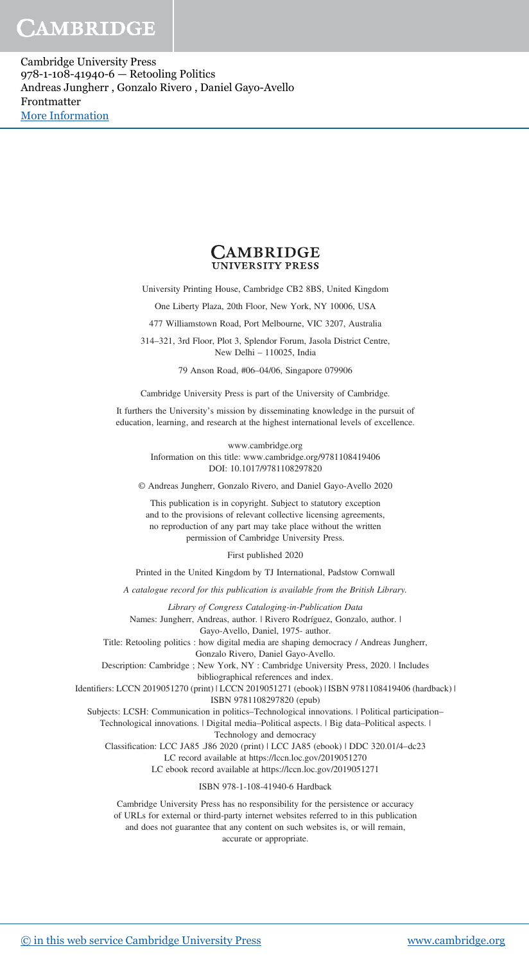# **CAMBRIDGE**<br>UNIVERSITY PRESS

University Printing House, Cambridge CB2 8BS, United Kingdom

One Liberty Plaza, 20th Floor, New York, NY 10006, USA

477 Williamstown Road, Port Melbourne, VIC 3207, Australia

314–321, 3rd Floor, Plot 3, Splendor Forum, Jasola District Centre, New Delhi – 110025, India

79 Anson Road, #06–04/06, Singapore 079906

Cambridge University Press is part of the University of Cambridge.

It furthers the University's mission by disseminating knowledge in the pursuit of education, learning, and research at the highest international levels of excellence.

> www.cambridge.org Information on this title: www.cambridge.org/9781108419406 DOI: 10.1017/9781108297820

© Andreas Jungherr, Gonzalo Rivero, and Daniel Gayo-Avello 2020

This publication is in copyright. Subject to statutory exception and to the provisions of relevant collective licensing agreements, no reproduction of any part may take place without the written permission of Cambridge University Press.

First published 2020

Printed in the United Kingdom by TJ International, Padstow Cornwall

A catalogue record for this publication is available from the British Library.

*Library of Congress Cataloging-in-Publication Data* Names: Jungherr, Andreas, author. | Rivero Rodríguez, Gonzalo, author. | Gayo-Avello, Daniel, 1975- author.

Title: Retooling politics : how digital media are shaping democracy / Andreas Jungherr, Gonzalo Rivero, Daniel Gayo-Avello.

Description: Cambridge ; New York, NY : Cambridge University Press, 2020. | Includes bibliographical references and index.

Identifiers: LCCN 2019051270 (print) | LCCN 2019051271 (ebook) | ISBN 9781108419406 (hardback) | ISBN 9781108297820 (epub)

Subjects: LCSH: Communication in politics–Technological innovations. | Political participation–

Technological innovations. | Digital media–Political aspects. | Big data–Political aspects. | Technology and democracy

Classification: LCC JA85 .J86 2020 (print) | LCC JA85 (ebook) | DDC 320.01/4–dc23

LC record available at https://lccn.loc.gov/2019051270

LC ebook record available at https://lccn.loc.gov/2019051271

ISBN 978-1-108-41940-6 Hardback

Cambridge University Press has no responsibility for the persistence or accuracy of URLs for external or third-party internet websites referred to in this publication and does not guarantee that any content on such websites is, or will remain, accurate or appropriate.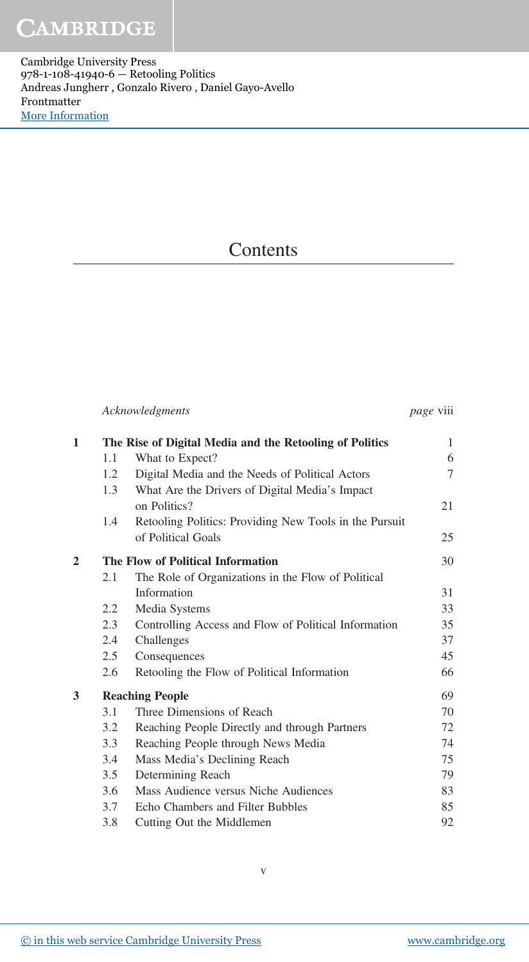### **Contents**

|              |                                                         | Acknowledgments                                        | page viii |
|--------------|---------------------------------------------------------|--------------------------------------------------------|-----------|
| $\mathbf{1}$ | The Rise of Digital Media and the Retooling of Politics |                                                        |           |
|              | 1.1                                                     | What to Expect?                                        | 6         |
|              | 1.2                                                     | Digital Media and the Needs of Political Actors        | 7         |
|              | 1.3                                                     | What Are the Drivers of Digital Media's Impact         |           |
|              |                                                         | on Politics?                                           | 21        |
|              | 1.4                                                     | Retooling Politics: Providing New Tools in the Pursuit |           |
|              |                                                         | of Political Goals                                     | 25        |
| $\mathbf 2$  |                                                         | The Flow of Political Information                      | 30        |
|              | 2.1                                                     | The Role of Organizations in the Flow of Political     |           |
|              |                                                         | Information                                            | 31        |
|              | 2.2                                                     | Media Systems                                          | 33        |
|              | 2.3                                                     | Controlling Access and Flow of Political Information   | 35        |
|              | 2.4                                                     | Challenges                                             | 37        |
|              | 2.5                                                     | Consequences                                           | 45        |
|              | 2.6                                                     | Retooling the Flow of Political Information            | 66        |
| 3            | <b>Reaching People</b>                                  |                                                        |           |
|              | 3.1                                                     | Three Dimensions of Reach                              | 70        |
|              | 3.2                                                     | Reaching People Directly and through Partners          | 72        |
|              | 3.3                                                     | Reaching People through News Media                     | 74        |
|              | 3.4                                                     | Mass Media's Declining Reach                           | 75        |
|              | 3.5                                                     | Determining Reach                                      | 79        |
|              | 3.6                                                     | Mass Audience versus Niche Audiences                   | 83        |
|              | 3.7                                                     | Echo Chambers and Filter Bubbles                       | 85        |
|              | 3.8                                                     | Cutting Out the Middlemen                              | 92        |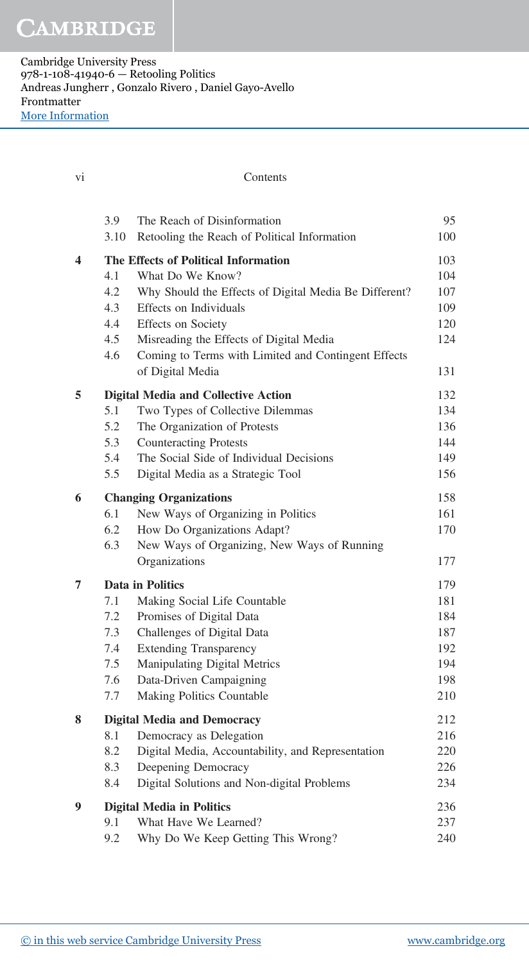| Vİ. |                                               | Contents                                                                                                                                                                                                                                                                                |                                                      |
|-----|-----------------------------------------------|-----------------------------------------------------------------------------------------------------------------------------------------------------------------------------------------------------------------------------------------------------------------------------------------|------------------------------------------------------|
|     | 3.9<br>3.10                                   | The Reach of Disinformation<br>Retooling the Reach of Political Information                                                                                                                                                                                                             | 95<br>100                                            |
| 4   | 4.1<br>4.2<br>4.3<br>4.4<br>4.5<br>4.6        | The Effects of Political Information<br>What Do We Know?<br>Why Should the Effects of Digital Media Be Different?<br>Effects on Individuals<br>Effects on Society<br>Misreading the Effects of Digital Media<br>Coming to Terms with Limited and Contingent Effects<br>of Digital Media | 103<br>104<br>107<br>109<br>120<br>124<br>131        |
| 5   | 5.1<br>5.2<br>5.3<br>5.4<br>5.5               | <b>Digital Media and Collective Action</b><br>Two Types of Collective Dilemmas<br>The Organization of Protests<br><b>Counteracting Protests</b><br>The Social Side of Individual Decisions<br>Digital Media as a Strategic Tool                                                         | 132<br>134<br>136<br>144<br>149<br>156               |
| 6   | 6.1<br>6.2<br>6.3                             | <b>Changing Organizations</b><br>New Ways of Organizing in Politics<br>How Do Organizations Adapt?<br>New Ways of Organizing, New Ways of Running<br>Organizations                                                                                                                      | 158<br>161<br>170<br>177                             |
| 7   | 7.1<br>7.2<br>7.3<br>7.4<br>7.5<br>7.6<br>7.7 | <b>Data in Politics</b><br>Making Social Life Countable<br>Promises of Digital Data<br>Challenges of Digital Data<br><b>Extending Transparency</b><br>Manipulating Digital Metrics<br>Data-Driven Campaigning<br>Making Politics Countable                                              | 179<br>181<br>184<br>187<br>192<br>194<br>198<br>210 |
| 8   | 8.1<br>8.2<br>8.3<br>8.4                      | <b>Digital Media and Democracy</b><br>Democracy as Delegation<br>Digital Media, Accountability, and Representation<br>Deepening Democracy<br>Digital Solutions and Non-digital Problems                                                                                                 | 212<br>216<br>220<br>226<br>234                      |
| 9   | 9.1<br>9.2                                    | <b>Digital Media in Politics</b><br>What Have We Learned?<br>Why Do We Keep Getting This Wrong?                                                                                                                                                                                         | 236<br>237<br>240                                    |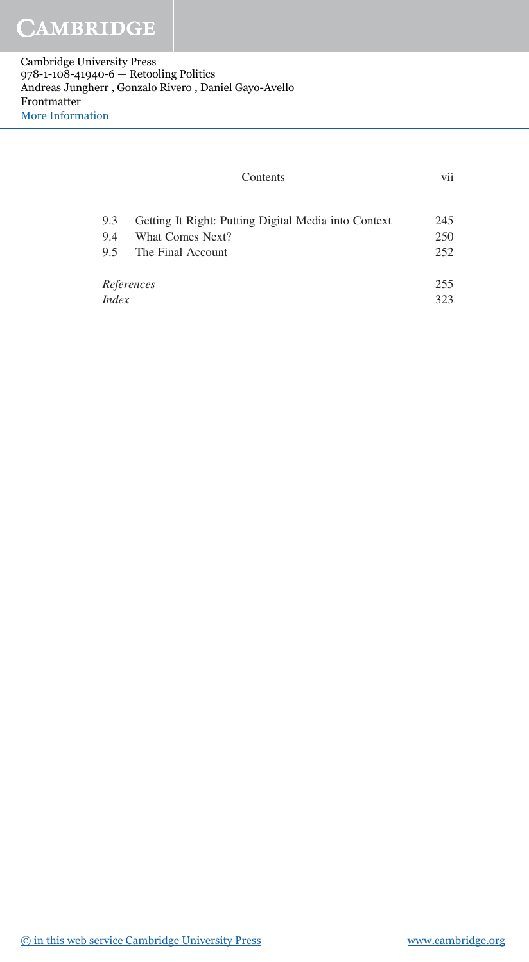|              | Contents                                             | V11 |
|--------------|------------------------------------------------------|-----|
| 9.3          | Getting It Right: Putting Digital Media into Context | 245 |
| 9.4          | What Comes Next?                                     | 250 |
| 9.5          | The Final Account                                    | 252 |
|              | References                                           | 255 |
| <i>Index</i> |                                                      | 323 |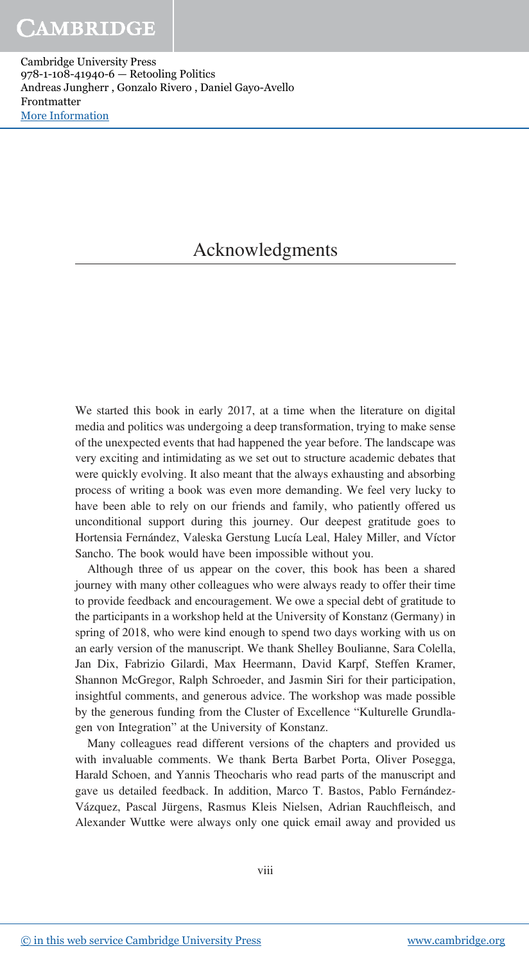## Acknowledgments

We started this book in early 2017, at a time when the literature on digital media and politics was undergoing a deep transformation, trying to make sense of the unexpected events that had happened the year before. The landscape was very exciting and intimidating as we set out to structure academic debates that were quickly evolving. It also meant that the always exhausting and absorbing process of writing a book was even more demanding. We feel very lucky to have been able to rely on our friends and family, who patiently offered us unconditional support during this journey. Our deepest gratitude goes to Hortensia Fernández, Valeska Gerstung Lucía Leal, Haley Miller, and Víctor Sancho. The book would have been impossible without you.

Although three of us appear on the cover, this book has been a shared journey with many other colleagues who were always ready to offer their time to provide feedback and encouragement. We owe a special debt of gratitude to the participants in a workshop held at the University of Konstanz (Germany) in spring of 2018, who were kind enough to spend two days working with us on an early version of the manuscript. We thank Shelley Boulianne, Sara Colella, Jan Dix, Fabrizio Gilardi, Max Heermann, David Karpf, Steffen Kramer, Shannon McGregor, Ralph Schroeder, and Jasmin Siri for their participation, insightful comments, and generous advice. The workshop was made possible by the generous funding from the Cluster of Excellence "Kulturelle Grundlagen von Integration" at the University of Konstanz.

Many colleagues read different versions of the chapters and provided us with invaluable comments. We thank Berta Barbet Porta, Oliver Posegga, Harald Schoen, and Yannis Theocharis who read parts of the manuscript and gave us detailed feedback. In addition, Marco T. Bastos, Pablo Fernández-Vázquez, Pascal Jürgens, Rasmus Kleis Nielsen, Adrian Rauchfleisch, and Alexander Wuttke were always only one quick email away and provided us